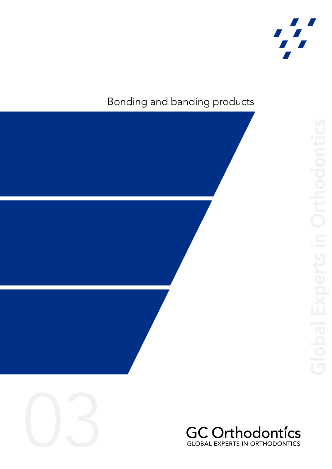

# Bonding and banding products







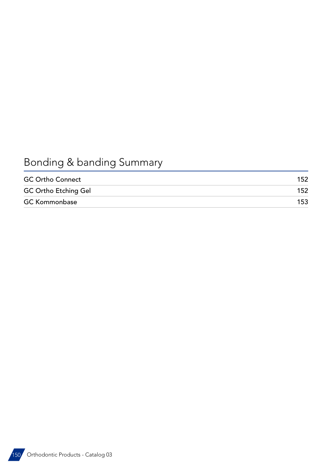# Bonding & banding Summary

| <b>GC Ortho Connect</b>     | 152 |
|-----------------------------|-----|
| <b>GC Ortho Etching Gel</b> | 152 |
| <b>GC Kommonbase</b>        | 153 |

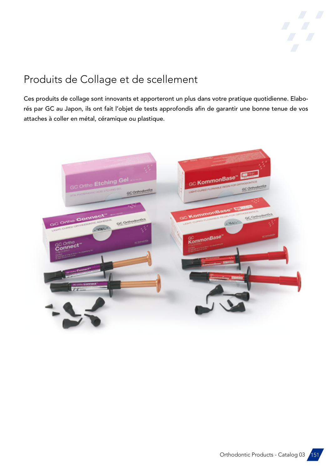

## Produits de Collage et de scellement

Ces produits de collage sont innovants et apporteront un plus dans votre pratique quotidienne. Elaborés par GC au Japon, ils ont fait l'objet de tests approfondis afin de garantir une bonne tenue de vos attaches à coller en métal, céramique ou plastique.



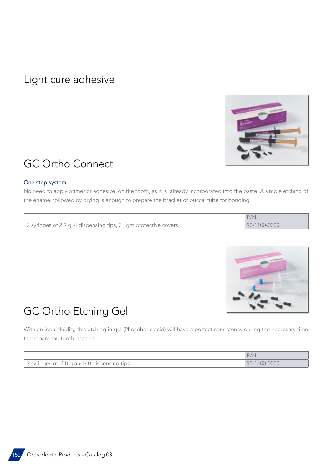### <span id="page-3-0"></span>Light cure adhesive



## GC Ortho Connect

### One step system

No need to apply primer or adhesive on the tooth, as it is already incorporated into the paste. A simple etching of the enamel followed by drying is enough to prepare the bracket or buccal tube for bonding.

| $^{\circ}$ 2 syringes of 2.9 g, 4 dispensing tips, 2 light protective covers | $90 - 1100 - 0000$ |
|------------------------------------------------------------------------------|--------------------|



# GC Ortho Etching Gel

With an ideal fluidity, this etching in gel (Phosphoric acid) will have a perfect consistency during the necessary time to prepare the tooth enamel.

| 2 syringes of 4,8 g and 40 dispensing t<br>tips |  |
|-------------------------------------------------|--|